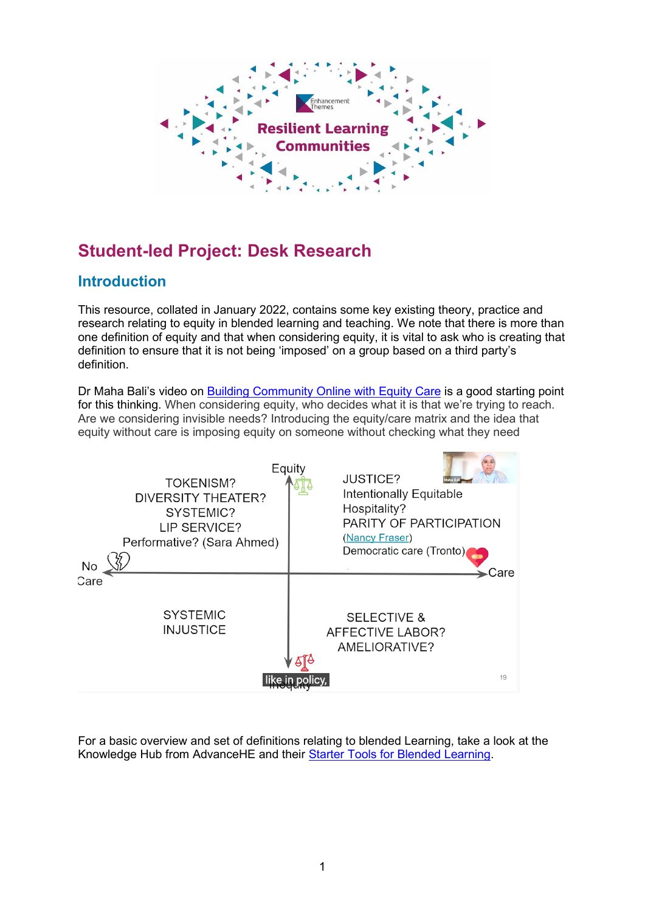

# **Student-led Project: Desk Research**

### **Introduction**

This resource, collated in January 2022, contains some key existing theory, practice and research relating to equity in blended learning and teaching. We note that there is more than one definition of equity and that when considering equity, it is vital to ask who is creating that definition to ensure that it is not being 'imposed' on a group based on a third party's definition.

Dr Maha Bali's video on [Building Community Online with Equity Care](https://www.youtube.com/watch?v=XISzMDw2-t8) is a good starting point for this thinking. When considering equity, who decides what it is that we're trying to reach. Are we considering invisible needs? Introducing the equity/care matrix and the idea that equity without care is imposing equity on someone without checking what they need



For a basic overview and set of definitions relating to blended Learning, take a look at the Knowledge Hub from AdvanceHE and their [Starter Tools for Blended Learning.](https://www.advance-he.ac.uk/knowledge-hub/blended-learning-0)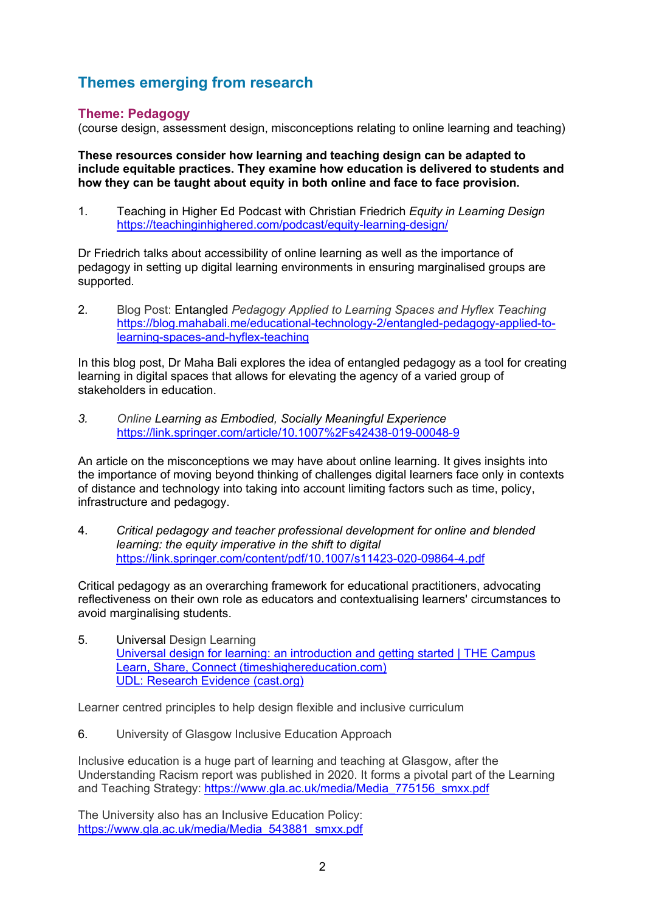## **Themes emerging from research**

#### **Theme: Pedagogy**

(course design, assessment design, misconceptions relating to online learning and teaching)

**These resources consider how learning and teaching design can be adapted to include equitable practices. They examine how education is delivered to students and how they can be taught about equity in both online and face to face provision.**

1. Teaching in Higher Ed Podcast with Christian Friedrich *Equity in Learning Design* <https://teachinginhighered.com/podcast/equity-learning-design/>

Dr Friedrich talks about accessibility of online learning as well as the importance of pedagogy in setting up digital learning environments in ensuring marginalised groups are supported.

2. Blog Post: Entangled *Pedagogy Applied to Learning Spaces and Hyflex Teaching* [https://blog.mahabali.me/educational-technology-2/entangled-pedagogy-applied-to](https://blog.mahabali.me/educational-technology-2/entangled-pedagogy-applied-to-learning-spaces-and-hyflex-teaching/)[learning-spaces-and-hyflex-teaching](https://blog.mahabali.me/educational-technology-2/entangled-pedagogy-applied-to-learning-spaces-and-hyflex-teaching/)

In this blog post, Dr Maha Bali explores the idea of entangled pedagogy as a tool for creating learning in digital spaces that allows for elevating the agency of a varied group of stakeholders in education.

*3. Online Learning as Embodied, Socially Meaningful Experience* <https://link.springer.com/article/10.1007%2Fs42438-019-00048-9>

An article on the misconceptions we may have about online learning. It gives insights into the importance of moving beyond thinking of challenges digital learners face only in contexts of distance and technology into taking into account limiting factors such as time, policy, infrastructure and pedagogy.

4. *Critical pedagogy and teacher professional development for online and blended learning: the equity imperative in the shift to digital* <https://link.springer.com/content/pdf/10.1007/s11423-020-09864-4.pdf>

Critical pedagogy as an overarching framework for educational practitioners, advocating reflectiveness on their own role as educators and contextualising learners' circumstances to avoid marginalising students.

5. Universal Design Learning [Universal design for learning: an introduction and getting started | THE Campus](https://www.timeshighereducation.com/campus/universal-design-learning-introduction-and-getting-started?mc_cid=f307d71bfa&mc_eid=e65e3b6827)  [Learn, Share, Connect \(timeshighereducation.com\)](https://www.timeshighereducation.com/campus/universal-design-learning-introduction-and-getting-started?mc_cid=f307d71bfa&mc_eid=e65e3b6827) [UDL: Research Evidence \(cast.org\)](https://udlguidelines.cast.org/more/research-evidence)

Learner centred principles to help design flexible and inclusive curriculum

6. University of Glasgow Inclusive Education Approach

Inclusive education is a huge part of learning and teaching at Glasgow, after the Understanding Racism report was published in 2020. It forms a pivotal part of the Learning and Teaching Strategy: [https://www.gla.ac.uk/media/Media\\_775156\\_smxx.pdf](https://www.gla.ac.uk/media/Media_775156_smxx.pdf)

The University also has an Inclusive Education Policy: [https://www.gla.ac.uk/media/Media\\_543881\\_smxx.pdf](https://www.gla.ac.uk/media/Media_543881_smxx.pdf)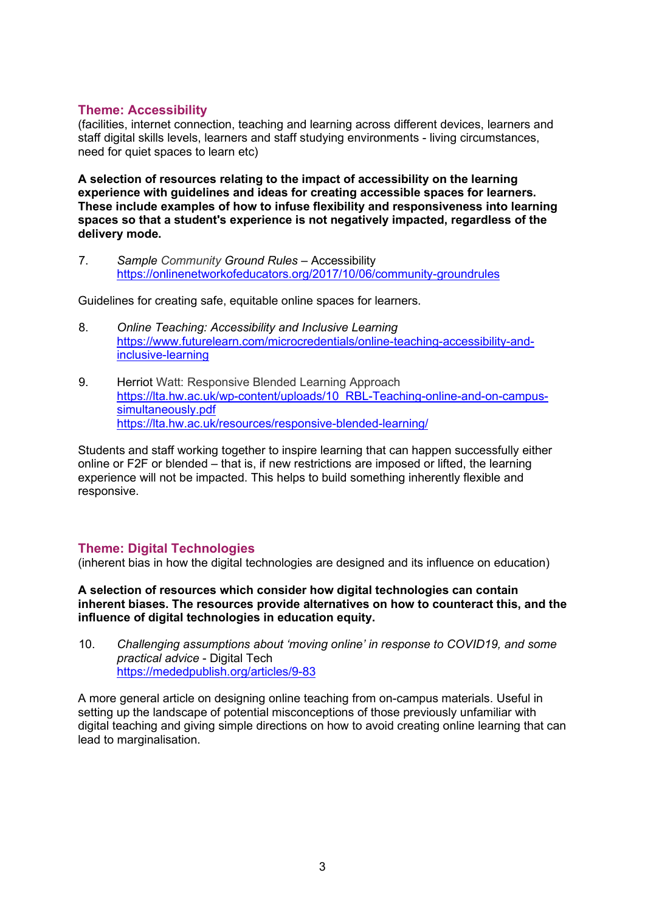#### **Theme: Accessibility**

(facilities, internet connection, teaching and learning across different devices, learners and staff digital skills levels, learners and staff studying environments - living circumstances, need for quiet spaces to learn etc)

**A selection of resources relating to the impact of accessibility on the learning experience with guidelines and ideas for creating accessible spaces for learners. These include examples of how to infuse flexibility and responsiveness into learning spaces so that a student's experience is not negatively impacted, regardless of the delivery mode.**

7. *Sample Community Ground Rules* – Accessibility [https://onlinenetworkofeducators.org/2017/10/06/community-groundrules](https://onlinenetworkofeducators.org/2017/10/06/community-groundrules/)

Guidelines for creating safe, equitable online spaces for learners.

- 8. *Online Teaching: Accessibility and Inclusive Learning* [https://www.futurelearn.com/microcredentials/online-teaching-accessibility-and](https://www.futurelearn.com/microcredentials/online-teaching-accessibility-and-inclusive-learning)[inclusive-learning](https://www.futurelearn.com/microcredentials/online-teaching-accessibility-and-inclusive-learning)
- 9. Herriot Watt: Responsive Blended Learning Approach [https://lta.hw.ac.uk/wp-content/uploads/10\\_RBL-Teaching-online-and-on-campus](https://lta.hw.ac.uk/wp-content/uploads/10_RBL-Teaching-online-and-on-campus-simultaneously.pdf)[simultaneously.pdf](https://lta.hw.ac.uk/wp-content/uploads/10_RBL-Teaching-online-and-on-campus-simultaneously.pdf) <https://lta.hw.ac.uk/resources/responsive-blended-learning/>

Students and staff working together to inspire learning that can happen successfully either online or F2F or blended – that is, if new restrictions are imposed or lifted, the learning experience will not be impacted. This helps to build something inherently flexible and responsive.

#### **Theme: Digital Technologies**

(inherent bias in how the digital technologies are designed and its influence on education)

**A selection of resources which consider how digital technologies can contain inherent biases. The resources provide alternatives on how to counteract this, and the influence of digital technologies in education equity.**

10. *Challenging assumptions about 'moving online' in response to COVID19, and some practical advice* - Digital Tech <https://mededpublish.org/articles/9-83>

A more general article on designing online teaching from on-campus materials. Useful in setting up the landscape of potential misconceptions of those previously unfamiliar with digital teaching and giving simple directions on how to avoid creating online learning that can lead to marginalisation.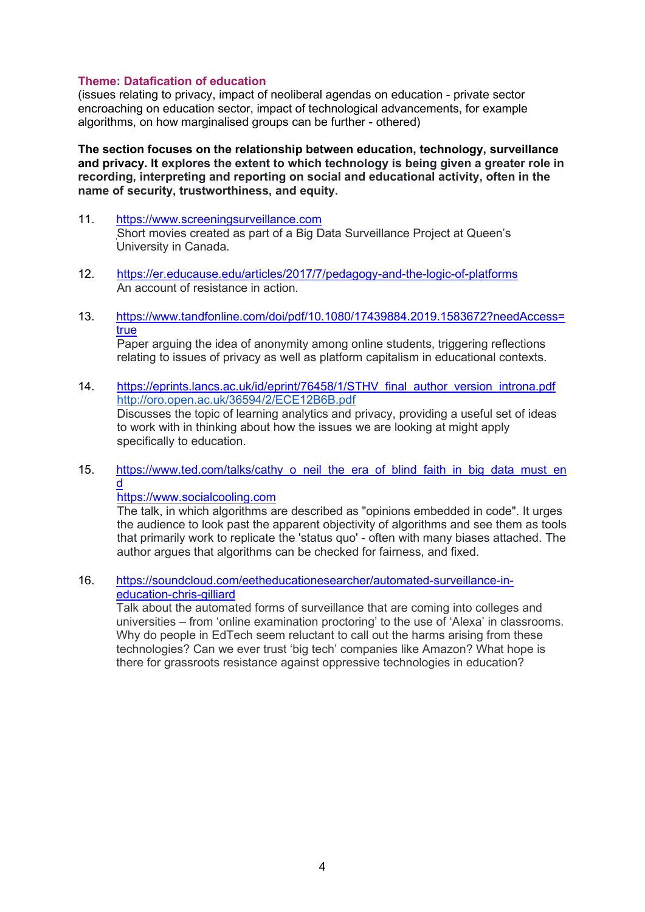#### **Theme: Datafication of education**

(issues relating to privacy, impact of neoliberal agendas on education - private sector encroaching on education sector, impact of technological advancements, for example algorithms, on how marginalised groups can be further - othered)

**The section focuses on the relationship between education, technology, surveillance and privacy. It explores the extent to which technology is being given a greater role in recording, interpreting and reporting on social and educational activity, often in the name of security, trustworthiness, and equity.**

- 11. [https://www.screeningsurveillance.com](https://www.screeningsurveillance.com/) Short movies created as part of a Big Data Surveillance Project at Queen's University in Canada.
- 12. <https://er.educause.edu/articles/2017/7/pedagogy-and-the-logic-of-platforms> An account of resistance in action.
- 13. [https://www.tandfonline.com/doi/pdf/10.1080/17439884.2019.1583672?needAccess=](https://www.tandfonline.com/doi/pdf/10.1080/17439884.2019.1583672?needAccess=true) [true](https://www.tandfonline.com/doi/pdf/10.1080/17439884.2019.1583672?needAccess=true) Paper arguing the idea of anonymity among online students, triggering reflections

relating to issues of privacy as well as platform capitalism in educational contexts.

- 14. [https://eprints.lancs.ac.uk/id/eprint/76458/1/STHV\\_final\\_author\\_version\\_introna.pdf](https://eprints.lancs.ac.uk/id/eprint/76458/1/STHV_final_author_version_introna.pdf) <http://oro.open.ac.uk/36594/2/ECE12B6B.pdf> Discusses the topic of learning analytics and privacy, providing a useful set of ideas to work with in thinking about how the issues we are looking at might apply specifically to education.
- 15. [https://www.ted.com/talks/cathy\\_o\\_neil\\_the\\_era\\_of\\_blind\\_faith\\_in\\_big\\_data\\_must\\_en](https://www.ted.com/talks/cathy_o_neil_the_era_of_blind_faith_in_big_data_must_end) [d](https://www.ted.com/talks/cathy_o_neil_the_era_of_blind_faith_in_big_data_must_end)

#### [https://www.socialcooling.com](https://www.socialcooling.com/)

The talk, in which algorithms are described as "opinions embedded in code". It urges the audience to look past the apparent objectivity of algorithms and see them as tools that primarily work to replicate the 'status quo' - often with many biases attached. The author argues that algorithms can be checked for fairness, and fixed.

16. [https://soundcloud.com/eetheducationesearcher/automated-surveillance-in](https://soundcloud.com/eetheducationesearcher/automated-surveillance-in-education-chris-gilliard)[education-chris-gilliard](https://soundcloud.com/eetheducationesearcher/automated-surveillance-in-education-chris-gilliard)

Talk about the automated forms of surveillance that are coming into colleges and universities – from 'online examination proctoring' to the use of 'Alexa' in classrooms. Why do people in EdTech seem reluctant to call out the harms arising from these technologies? Can we ever trust 'big tech' companies like Amazon? What hope is there for grassroots resistance against oppressive technologies in education?